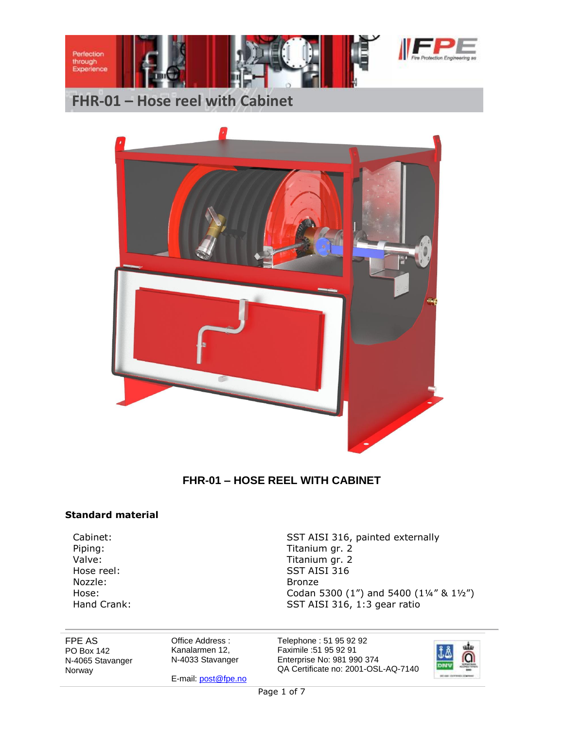



### **FHR-01 – HOSE REEL WITH CABINET**

#### **Standard material**

Nozzle: Bronze

Cabinet: Cabinet: SST AISI 316, painted externally Piping: Titanium gr. 2 Valve: Valve: Titanium gr. 2 Hose reel: SST AISI 316 Hose: Codan 5300 (1") and 5400 (14" & 1½")<br>
Hand Crank: SST AISI 316, 1:3 gear ratio SST AISI 316, 1:3 gear ratio

FPE AS PO Box 142 N-4065 Stavanger Norway

Office Address : Kanalarmen 12, N-4033 Stavanger

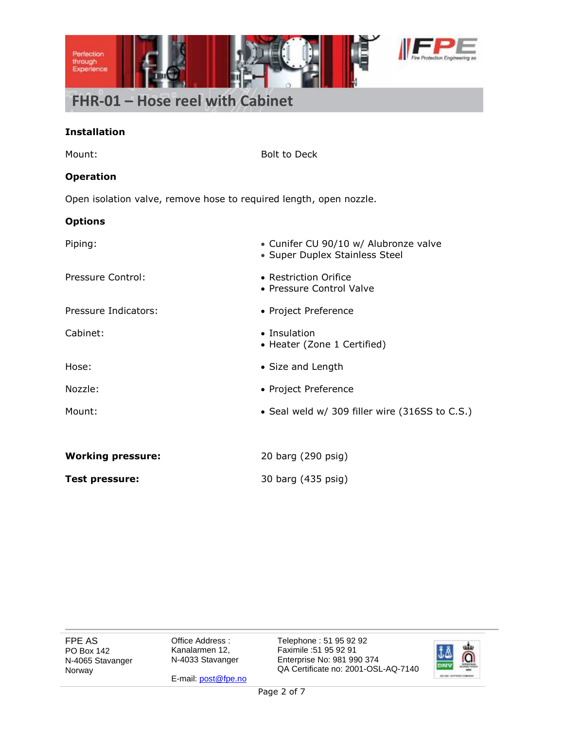

### **Installation**

| Mount:                                                             | <b>Bolt to Deck</b>                                                     |  |  |  |  |
|--------------------------------------------------------------------|-------------------------------------------------------------------------|--|--|--|--|
| <b>Operation</b>                                                   |                                                                         |  |  |  |  |
| Open isolation valve, remove hose to required length, open nozzle. |                                                                         |  |  |  |  |
| <b>Options</b>                                                     |                                                                         |  |  |  |  |
| Piping:                                                            | • Cunifer CU 90/10 w/ Alubronze valve<br>• Super Duplex Stainless Steel |  |  |  |  |
| Pressure Control:                                                  | • Restriction Orifice<br>• Pressure Control Valve                       |  |  |  |  |
| Pressure Indicators:                                               | • Project Preference                                                    |  |  |  |  |
| Cabinet:                                                           | • Insulation<br>• Heater (Zone 1 Certified)                             |  |  |  |  |
| Hose:                                                              | • Size and Length                                                       |  |  |  |  |
| Nozzle:                                                            | • Project Preference                                                    |  |  |  |  |
| Mount:                                                             | • Seal weld w/ 309 filler wire (316SS to C.S.)                          |  |  |  |  |
|                                                                    |                                                                         |  |  |  |  |
| <b>Working pressure:</b>                                           | 20 barg (290 psig)                                                      |  |  |  |  |
| Test pressure:                                                     | 30 barg (435 psig)                                                      |  |  |  |  |
|                                                                    |                                                                         |  |  |  |  |

FPE AS PO Box 142 N-4065 Stavanger Norway

Office Address : Kanalarmen 12, N-4033 Stavanger

E-mail[: post@fpe.no](mailto:post@fpe.no)

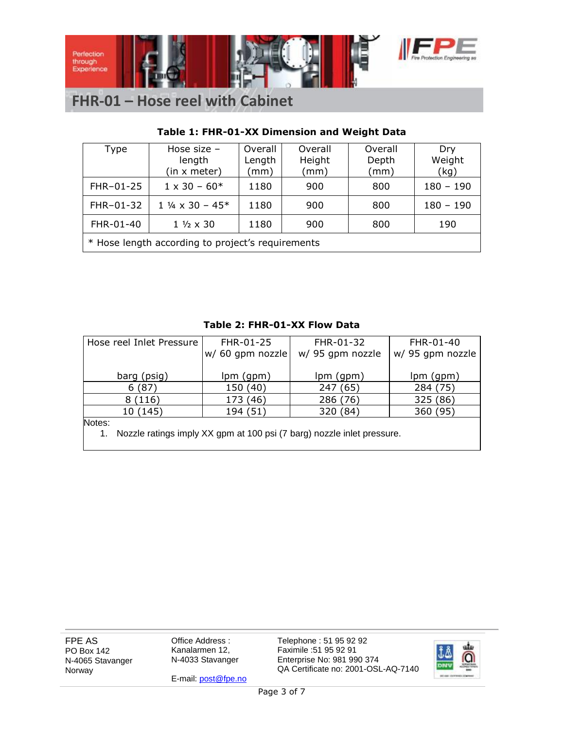

### **Table 1: FHR-01-XX Dimension and Weight Data**

| Type                                              | Hose size $-$<br>length<br>(in x meter) | Overall<br>Length<br>(mm) | Overall<br>Height<br>(mm) | Overall<br>Depth<br>(mm) | Dry<br>Weight<br>(kg) |  |  |
|---------------------------------------------------|-----------------------------------------|---------------------------|---------------------------|--------------------------|-----------------------|--|--|
| FHR-01-25                                         | $1 \times 30 - 60*$                     | 1180                      | 900                       | 800                      | $180 - 190$           |  |  |
| FHR-01-32                                         | $1\frac{1}{4} \times 30 - 45^*$         | 1180                      | 900                       | 800                      | $180 - 190$           |  |  |
| FHR-01-40                                         | $1\frac{1}{2} \times 30$                | 1180                      | 900                       | 800                      | 190                   |  |  |
| * Hose length according to project's requirements |                                         |                           |                           |                          |                       |  |  |

### **Table 2: FHR-01-XX Flow Data**

| Hose reel Inlet Pressure | FHR-01-25        | FHR-01-32        | FHR-01-40        |
|--------------------------|------------------|------------------|------------------|
|                          | w/ 60 gpm nozzle | w/ 95 gpm nozzle | w/ 95 gpm nozzle |
|                          |                  |                  |                  |
| barg (psig)              | lpm (gpm)        | lpm (gpm)        | lpm (gpm)        |
| 6(87)                    | 150 (40)         | 247 (65)         | 284 (75)         |
| 8(116)                   | 173 (46)         | 286 (76)         | 325 (86)         |
| 10 (145)                 | 194 (51)         | 320 (84)         | 360 (95)         |
| Notes:                   |                  |                  |                  |

Notes:

1. Nozzle ratings imply XX gpm at 100 psi (7 barg) nozzle inlet pressure.

FPE AS PO Box 142 N-4065 Stavanger Norway

Office Address : Kanalarmen 12, N-4033 Stavanger

E-mail[: post@fpe.no](mailto:post@fpe.no)

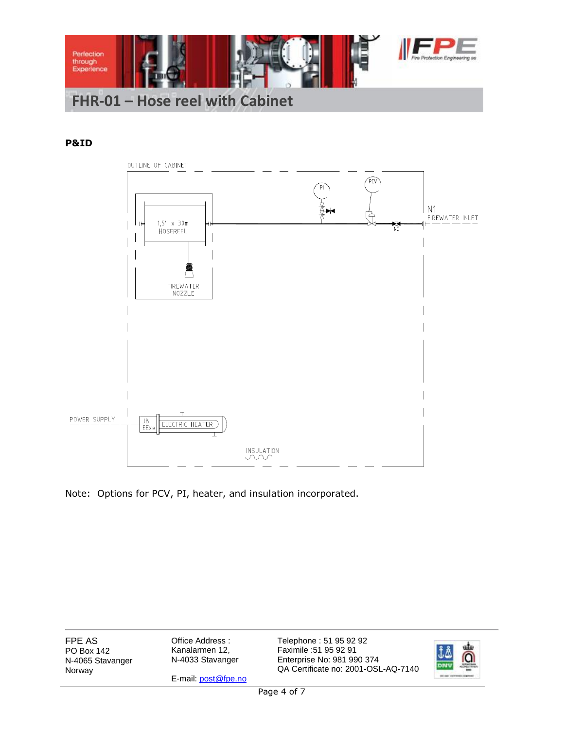

#### **P&ID**



Note: Options for PCV, PI, heater, and insulation incorporated.

FPE AS PO Box 142 N-4065 Stavanger Norway

Office Address : Kanalarmen 12, N-4033 Stavanger

E-mail[: post@fpe.no](mailto:post@fpe.no)

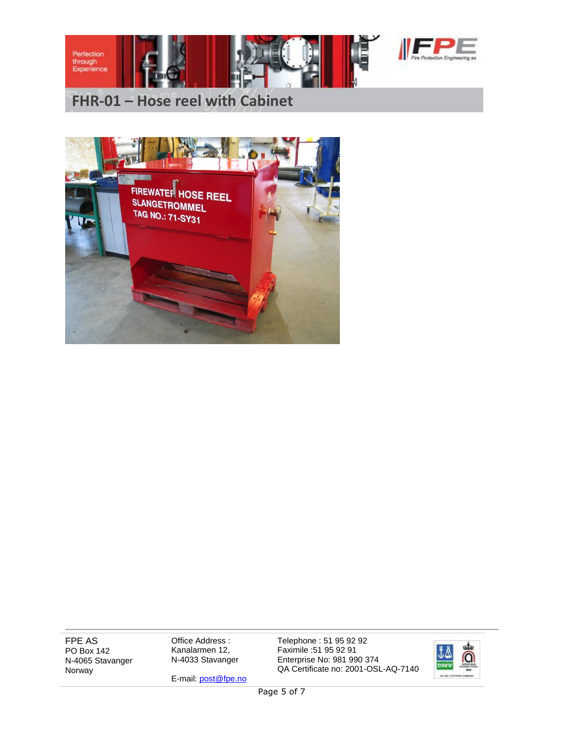



FPE AS PO Box 142 N-4065 Stavanger Norway

Office Address : Kanalarmen 12, N-4033 Stavanger

E-mail[: post@fpe.no](mailto:post@fpe.no)

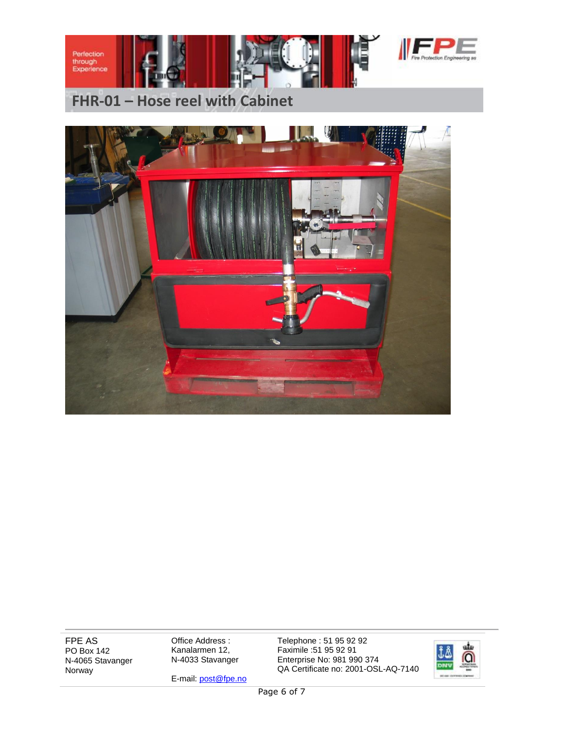



FPE AS PO Box 142 N-4065 Stavanger Norway

Office Address : Kanalarmen 12, N-4033 Stavanger

E-mail[: post@fpe.no](mailto:post@fpe.no)